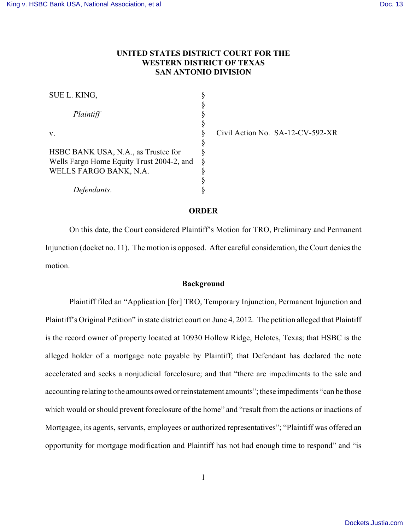# **UNITED STATES DISTRICT COURT FOR THE WESTERN DISTRICT OF TEXAS SAN ANTONIO DIVISION**

| SUE L. KING,                              |   |
|-------------------------------------------|---|
|                                           | § |
| Plaintiff                                 | § |
|                                           | § |
| v.                                        | ş |
|                                           | ş |
| HSBC BANK USA, N.A., as Trustee for       | ş |
| Wells Fargo Home Equity Trust 2004-2, and | ş |
| WELLS FARGO BANK, N.A.                    | ş |
|                                           | ş |
| Defendants.                               |   |

Civil Action No. SA-12-CV-592-XR

## **ORDER**

On this date, the Court considered Plaintiff's Motion for TRO, Preliminary and Permanent Injunction (docket no. 11). The motion is opposed. After careful consideration, the Court denies the motion.

### **Background**

Plaintiff filed an "Application [for] TRO, Temporary Injunction, Permanent Injunction and Plaintiff's Original Petition" in state district court on June 4, 2012. The petition alleged that Plaintiff is the record owner of property located at 10930 Hollow Ridge, Helotes, Texas; that HSBC is the alleged holder of a mortgage note payable by Plaintiff; that Defendant has declared the note accelerated and seeks a nonjudicial foreclosure; and that "there are impediments to the sale and accounting relating to the amounts owed or reinstatement amounts"; these impediments "can be those which would or should prevent foreclosure of the home" and "result from the actions or inactions of Mortgagee, its agents, servants, employees or authorized representatives"; "Plaintiff was offered an opportunity for mortgage modification and Plaintiff has not had enough time to respond" and "is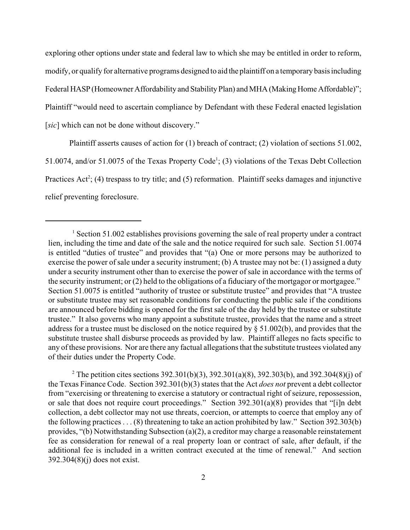exploring other options under state and federal law to which she may be entitled in order to reform, modify, or qualify for alternative programs designed to aid the plaintiff on a temporary basis including Federal HASP(Homeowner Affordability and Stability Plan) and MHA (Making Home Affordable)"; Plaintiff "would need to ascertain compliance by Defendant with these Federal enacted legislation [*sic*] which can not be done without discovery."

Plaintiff asserts causes of action for (1) breach of contract; (2) violation of sections 51.002, 51.0074, and/or 51.0075 of the Texas Property Code<sup>1</sup>; (3) violations of the Texas Debt Collection Practices Act<sup>2</sup>; (4) trespass to try title; and (5) reformation. Plaintiff seeks damages and injunctive relief preventing foreclosure.

<sup>2</sup> The petition cites sections 392.301(b)(3), 392.301(a)(8), 392.303(b), and 392.304(8)(j) of the Texas Finance Code. Section 392.301(b)(3) states that the Act *does not* prevent a debt collector from "exercising or threatening to exercise a statutory or contractual right of seizure, repossession, or sale that does not require court proceedings." Section 392.301(a)(8) provides that "[i]n debt collection, a debt collector may not use threats, coercion, or attempts to coerce that employ any of the following practices . . . (8) threatening to take an action prohibited by law." Section 392.303(b) provides, "(b) Notwithstanding Subsection (a)(2), a creditor may charge a reasonable reinstatement fee as consideration for renewal of a real property loan or contract of sale, after default, if the additional fee is included in a written contract executed at the time of renewal." And section 392.304(8)(j) does not exist.

 $1$  Section 51.002 establishes provisions governing the sale of real property under a contract lien, including the time and date of the sale and the notice required for such sale. Section 51.0074 is entitled "duties of trustee" and provides that "(a) One or more persons may be authorized to exercise the power of sale under a security instrument; (b) A trustee may not be: (1) assigned a duty under a security instrument other than to exercise the power of sale in accordance with the terms of the security instrument; or (2) held to the obligations of a fiduciary of the mortgagor or mortgagee." Section 51.0075 is entitled "authority of trustee or substitute trustee" and provides that "A trustee or substitute trustee may set reasonable conditions for conducting the public sale if the conditions are announced before bidding is opened for the first sale of the day held by the trustee or substitute trustee." It also governs who many appoint a substitute trustee, provides that the name and a street address for a trustee must be disclosed on the notice required by § 51.002(b), and provides that the substitute trustee shall disburse proceeds as provided by law. Plaintiff alleges no facts specific to any of these provisions. Nor are there any factual allegations that the substitute trustees violated any of their duties under the Property Code.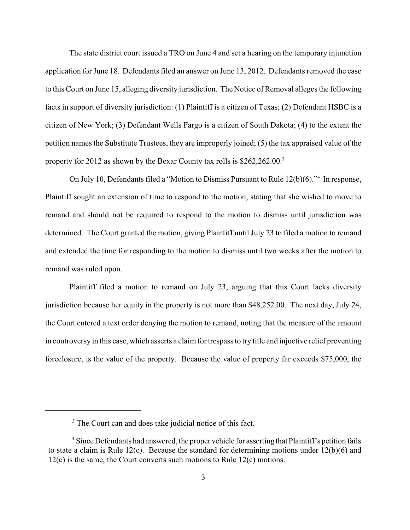The state district court issued a TRO on June 4 and set a hearing on the temporary injunction application for June 18. Defendants filed an answer on June 13, 2012. Defendants removed the case to this Court on June 15, alleging diversity jurisdiction. The Notice of Removal alleges the following facts in support of diversity jurisdiction: (1) Plaintiff is a citizen of Texas; (2) Defendant HSBC is a citizen of New York; (3) Defendant Wells Fargo is a citizen of South Dakota; (4) to the extent the petition names the Substitute Trustees, they are improperly joined; (5) the tax appraised value of the property for 2012 as shown by the Bexar County tax rolls is \$262,262.00.<sup>3</sup>

On July 10, Defendants filed a "Motion to Dismiss Pursuant to Rule  $12(b)(6)$ ."<sup>4</sup> In response, Plaintiff sought an extension of time to respond to the motion, stating that she wished to move to remand and should not be required to respond to the motion to dismiss until jurisdiction was determined. The Court granted the motion, giving Plaintiff until July 23 to filed a motion to remand and extended the time for responding to the motion to dismiss until two weeks after the motion to remand was ruled upon.

Plaintiff filed a motion to remand on July 23, arguing that this Court lacks diversity jurisdiction because her equity in the property is not more than \$48,252.00. The next day, July 24, the Court entered a text order denying the motion to remand, noting that the measure of the amount in controversy in this case, which asserts a claim for trespassto try title and injuctive relief preventing foreclosure, is the value of the property. Because the value of property far exceeds \$75,000, the

<sup>&</sup>lt;sup>3</sup> The Court can and does take judicial notice of this fact.

<sup>&</sup>lt;sup>4</sup> Since Defendants had answered, the proper vehicle for asserting that Plaintiff's petition fails to state a claim is Rule 12(c). Because the standard for determining motions under 12(b)(6) and 12(c) is the same, the Court converts such motions to Rule 12(c) motions.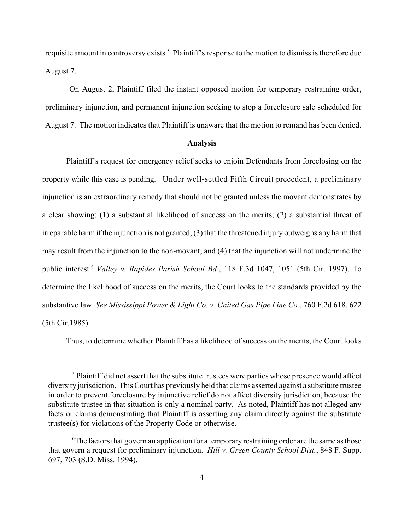requisite amount in controversy exists.<sup>5</sup> Plaintiff's response to the motion to dismiss is therefore due August 7.

On August 2, Plaintiff filed the instant opposed motion for temporary restraining order, preliminary injunction, and permanent injunction seeking to stop a foreclosure sale scheduled for August 7. The motion indicates that Plaintiff is unaware that the motion to remand has been denied.

#### **Analysis**

Plaintiff's request for emergency relief seeks to enjoin Defendants from foreclosing on the property while this case is pending. Under well-settled Fifth Circuit precedent, a preliminary injunction is an extraordinary remedy that should not be granted unless the movant demonstrates by a clear showing: (1) a substantial likelihood of success on the merits; (2) a substantial threat of irreparable harm if the injunction is not granted; (3) that the threatened injury outweighs any harm that may result from the injunction to the non-movant; and (4) that the injunction will not undermine the public interest.<sup>6</sup> Valley v. Rapides Parish School Bd., 118 F.3d 1047, 1051 (5th Cir. 1997). To determine the likelihood of success on the merits, the Court looks to the standards provided by the substantive law. *See Mississippi Power & Light Co. v. United Gas Pipe Line Co.*, 760 F.2d 618, 622 (5th Cir.1985).

Thus, to determine whether Plaintiff has a likelihood of success on the merits, the Court looks

 $<sup>5</sup>$  Plaintiff did not assert that the substitute trustees were parties whose presence would affect</sup> diversity jurisdiction. This Court has previously held that claims asserted against a substitute trustee in order to prevent foreclosure by injunctive relief do not affect diversity jurisdiction, because the substitute trustee in that situation is only a nominal party. As noted, Plaintiff has not alleged any facts or claims demonstrating that Plaintiff is asserting any claim directly against the substitute trustee(s) for violations of the Property Code or otherwise.

 $\rm^6$ The factors that govern an application for a temporary restraining order are the same as those that govern a request for preliminary injunction. *Hill v. Green County School Dist.*, 848 F. Supp. 697, 703 (S.D. Miss. 1994).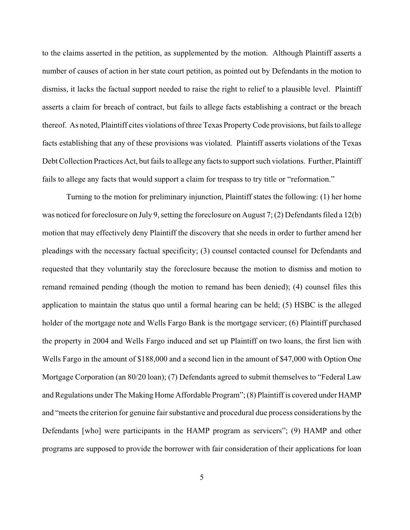to the claims asserted in the petition, as supplemented by the motion. Although Plaintiff asserts a number of causes of action in her state court petition, as pointed out by Defendants in the motion to dismiss, it lacks the factual support needed to raise the right to relief to a plausible level. Plaintiff asserts a claim for breach of contract, but fails to allege facts establishing a contract or the breach thereof. As noted, Plaintiff cites violations of three Texas Property Code provisions, but fails to allege facts establishing that any of these provisions was violated. Plaintiff asserts violations of the Texas Debt Collection Practices Act, but fails to allege any facts to support such violations. Further, Plaintiff fails to allege any facts that would support a claim for trespass to try title or "reformation."

Turning to the motion for preliminary injunction, Plaintiff states the following: (1) her home was noticed for foreclosure on July 9, setting the foreclosure on August 7; (2) Defendants filed a 12(b) motion that may effectively deny Plaintiff the discovery that she needs in order to further amend her pleadings with the necessary factual specificity; (3) counsel contacted counsel for Defendants and requested that they voluntarily stay the foreclosure because the motion to dismiss and motion to remand remained pending (though the motion to remand has been denied); (4) counsel files this application to maintain the status quo until a formal hearing can be held; (5) HSBC is the alleged holder of the mortgage note and Wells Fargo Bank is the mortgage servicer; (6) Plaintiff purchased the property in 2004 and Wells Fargo induced and set up Plaintiff on two loans, the first lien with Wells Fargo in the amount of \$188,000 and a second lien in the amount of \$47,000 with Option One Mortgage Corporation (an 80/20 loan); (7) Defendants agreed to submit themselves to "Federal Law and Regulations under The Making Home Affordable Program"; (8) Plaintiff is covered under HAMP and "meets the criterion for genuine fair substantive and procedural due process considerations by the Defendants [who] were participants in the HAMP program as servicers"; (9) HAMP and other programs are supposed to provide the borrower with fair consideration of their applications for loan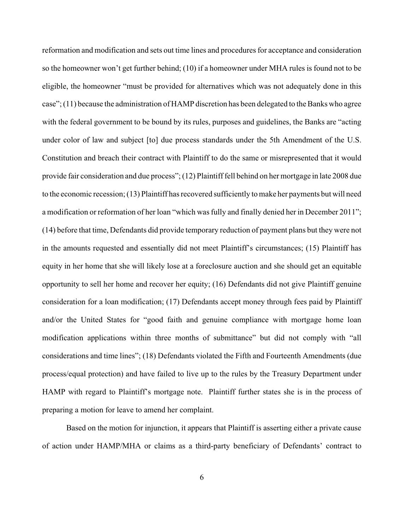reformation and modification and sets out time lines and procedures for acceptance and consideration so the homeowner won't get further behind; (10) if a homeowner under MHA rules is found not to be eligible, the homeowner "must be provided for alternatives which was not adequately done in this case"; (11) because the administration of HAMP discretion has been delegated to the Banks who agree with the federal government to be bound by its rules, purposes and guidelines, the Banks are "acting under color of law and subject [to] due process standards under the 5th Amendment of the U.S. Constitution and breach their contract with Plaintiff to do the same or misrepresented that it would provide fair consideration and due process"; (12) Plaintiff fell behind on her mortgage in late 2008 due to the economic recession; (13) Plaintiff has recovered sufficiently to make her payments but will need a modification or reformation of her loan "which was fully and finally denied her in December 2011"; (14) before that time, Defendants did provide temporary reduction of payment plans but they were not in the amounts requested and essentially did not meet Plaintiff's circumstances; (15) Plaintiff has equity in her home that she will likely lose at a foreclosure auction and she should get an equitable opportunity to sell her home and recover her equity; (16) Defendants did not give Plaintiff genuine consideration for a loan modification; (17) Defendants accept money through fees paid by Plaintiff and/or the United States for "good faith and genuine compliance with mortgage home loan modification applications within three months of submittance" but did not comply with "all considerations and time lines"; (18) Defendants violated the Fifth and Fourteenth Amendments (due process/equal protection) and have failed to live up to the rules by the Treasury Department under HAMP with regard to Plaintiff's mortgage note. Plaintiff further states she is in the process of preparing a motion for leave to amend her complaint.

Based on the motion for injunction, it appears that Plaintiff is asserting either a private cause of action under HAMP/MHA or claims as a third-party beneficiary of Defendants' contract to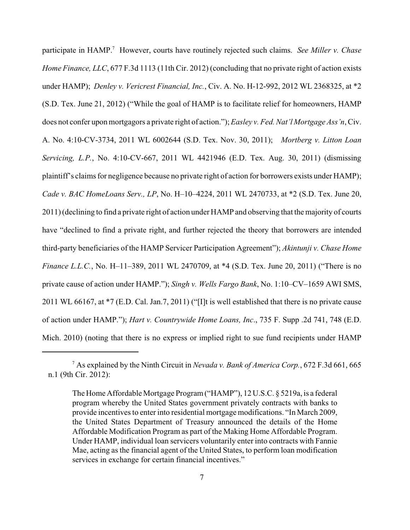participate in HAMP.<sup>7</sup> However, courts have routinely rejected such claims. *See Miller v. Chase Home Finance, LLC*, 677 F.3d 1113 (11th Cir. 2012) (concluding that no private right of action exists under HAMP); *Denley v. Vericrest Financial, Inc.*, Civ. A. No. H-12-992, 2012 WL 2368325, at \*2 (S.D. Tex. June 21, 2012) ("While the goal of HAMP is to facilitate relief for homeowners, HAMP does not confer upon mortgagors a private right of action."); *Easley v. Fed. Nat'l Mortgage Ass'n*, Civ. A. No. 4:10-CV-3734, 2011 WL 6002644 (S.D. Tex. Nov. 30, 2011); *Mortberg v. Litton Loan Servicing, L.P.*, No. 4:10-CV-667, 2011 WL 4421946 (E.D. Tex. Aug. 30, 2011) (dismissing plaintiff's claims for negligence because no private right of action for borrowers exists under HAMP); *Cade v. BAC HomeLoans Serv., LP*, No. H–10–4224, 2011 WL 2470733, at \*2 (S.D. Tex. June 20, 2011) (declining to find a private right of action under HAMP and observing that the majority of courts have "declined to find a private right, and further rejected the theory that borrowers are intended third-party beneficiaries of the HAMP Servicer Participation Agreement"); *Akintunji v. Chase Home Finance L.L.C.*, No. H–11–389, 2011 WL 2470709, at \*4 (S.D. Tex. June 20, 2011) ("There is no private cause of action under HAMP."); *Singh v. Wells Fargo Bank*, No. 1:10–CV–1659 AWI SMS, 2011 WL 66167, at \*7 (E.D. Cal. Jan.7, 2011) ("[I]t is well established that there is no private cause of action under HAMP."); *Hart v. Countrywide Home Loans, Inc*., 735 F. Supp .2d 741, 748 (E.D. Mich. 2010) (noting that there is no express or implied right to sue fund recipients under HAMP

As explained by the Ninth Circuit in *Nevada v. Bank of America Corp.*, 672 F.3d 661, 665 <sup>7</sup> n.1 (9th Cir. 2012):

The Home Affordable Mortgage Program ("HAMP"), 12 U.S.C. § 5219a, is a federal program whereby the United States government privately contracts with banks to provide incentives to enter into residential mortgage modifications. "In March 2009, the United States Department of Treasury announced the details of the Home Affordable Modification Program as part of the Making Home Affordable Program. Under HAMP, individual loan servicers voluntarily enter into contracts with Fannie Mae, acting as the financial agent of the United States, to perform loan modification services in exchange for certain financial incentives."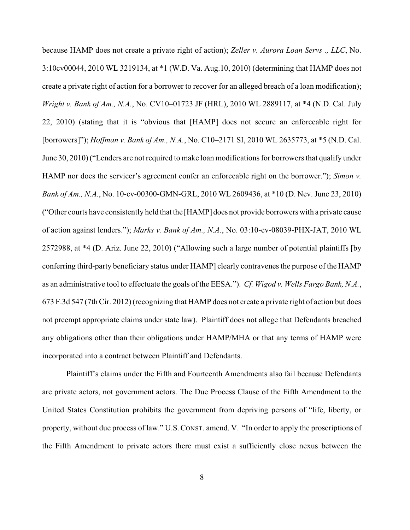because HAMP does not create a private right of action); *Zeller v. Aurora Loan Servs ., LLC*, No. 3:10cv00044, 2010 WL 3219134, at \*1 (W.D. Va. Aug.10, 2010) (determining that HAMP does not create a private right of action for a borrower to recover for an alleged breach of a loan modification); *Wright v. Bank of Am., N.A.*, No. CV10–01723 JF (HRL), 2010 WL 2889117, at \*4 (N.D. Cal. July 22, 2010) (stating that it is "obvious that [HAMP] does not secure an enforceable right for [borrowers]"); *Hoffman v. Bank of Am., N.A.*, No. C10–2171 SI, 2010 WL 2635773, at \*5 (N.D. Cal. June 30, 2010) ("Lenders are not required to make loan modifications for borrowers that qualify under HAMP nor does the servicer's agreement confer an enforceable right on the borrower."); *Simon v. Bank of Am., N.A.*, No. 10-cv-00300-GMN-GRL, 2010 WL 2609436, at \*10 (D. Nev. June 23, 2010) ("Other courts have consistently held that the [HAMP] does not provide borrowers with a private cause of action against lenders."); *Marks v. Bank of Am., N.A.*, No. 03:10-cv-08039-PHX-JAT, 2010 WL 2572988, at \*4 (D. Ariz. June 22, 2010) ("Allowing such a large number of potential plaintiffs [by conferring third-party beneficiary status under HAMP] clearly contravenes the purpose of the HAMP as an administrative tool to effectuate the goals of the EESA."). *Cf. Wigod v. Wells Fargo Bank, N.A.*, 673 F.3d 547 (7th Cir. 2012) (recognizing that HAMP does not create a private right of action but does not preempt appropriate claims under state law). Plaintiff does not allege that Defendants breached any obligations other than their obligations under HAMP/MHA or that any terms of HAMP were incorporated into a contract between Plaintiff and Defendants.

Plaintiff's claims under the Fifth and Fourteenth Amendments also fail because Defendants are private actors, not government actors. The Due Process Clause of the Fifth Amendment to the United States Constitution prohibits the government from depriving persons of "life, liberty, or property, without due process of law." U.S.CONST. amend. V. "In order to apply the proscriptions of the Fifth Amendment to private actors there must exist a sufficiently close nexus between the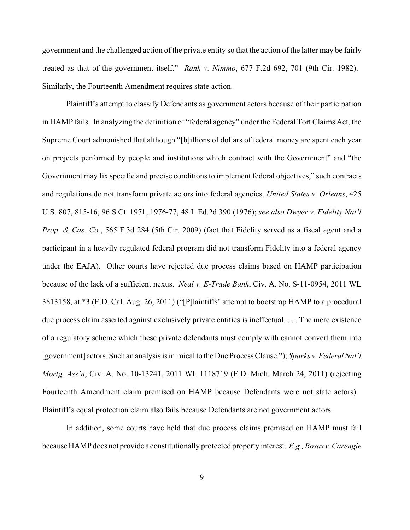government and the challenged action of the private entity so that the action of the latter may be fairly treated as that of the government itself." *Rank v. Nimmo*, 677 F.2d 692, 701 (9th Cir. 1982). Similarly, the Fourteenth Amendment requires state action.

Plaintiff's attempt to classify Defendants as government actors because of their participation in HAMP fails. In analyzing the definition of "federal agency" under the Federal Tort Claims Act, the Supreme Court admonished that although "[b]illions of dollars of federal money are spent each year on projects performed by people and institutions which contract with the Government" and "the Government may fix specific and precise conditions to implement federal objectives," such contracts and regulations do not transform private actors into federal agencies. *United States v. Orleans*, 425 U.S. 807, 815-16, 96 S.Ct. 1971, 1976-77, 48 L.Ed.2d 390 (1976); *see also Dwyer v. Fidelity Nat'l Prop. & Cas. Co.*, 565 F.3d 284 (5th Cir. 2009) (fact that Fidelity served as a fiscal agent and a participant in a heavily regulated federal program did not transform Fidelity into a federal agency under the EAJA). Other courts have rejected due process claims based on HAMP participation because of the lack of a sufficient nexus. *Neal v. E-Trade Bank*, Civ. A. No. S-11-0954, 2011 WL 3813158, at \*3 (E.D. Cal. Aug. 26, 2011) ("[P]laintiffs' attempt to bootstrap HAMP to a procedural due process claim asserted against exclusively private entities is ineffectual. . . . The mere existence of a regulatory scheme which these private defendants must comply with cannot convert them into [government] actors. Such an analysis is inimical to the Due Process Clause."); *Sparks v. Federal Nat'l Mortg. Ass'n*, Civ. A. No. 10-13241, 2011 WL 1118719 (E.D. Mich. March 24, 2011) (rejecting Fourteenth Amendment claim premised on HAMP because Defendants were not state actors). Plaintiff's equal protection claim also fails because Defendants are not government actors.

In addition, some courts have held that due process claims premised on HAMP must fail because HAMP does not provide a constitutionally protected property interest. *E.g., Rosas v.Carengie*